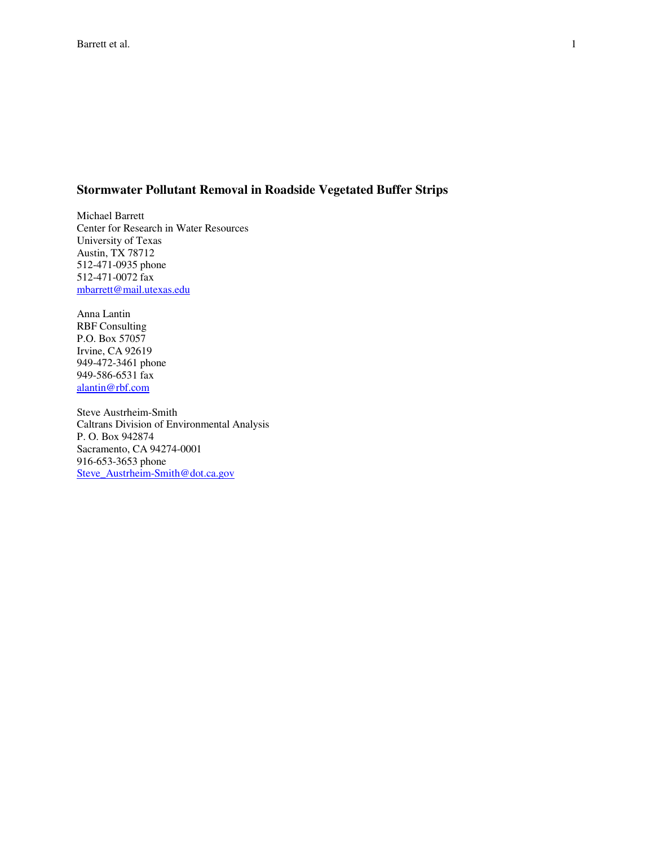## **Stormwater Pollutant Removal in Roadside Vegetated Buffer Strips**

Michael Barrett Center for Research in Water Resources University of Texas Austin, TX 78712 512-471-0935 phone 512-471-0072 fax mbarrett@mail.utexas.edu

Anna Lantin RBF Consulting P.O. Box 57057 Irvine, CA 92619 949-472-3461 phone 949-586-6531 fax alantin@rbf.com

Steve Austrheim-Smith Caltrans Division of Environmental Analysis P. O. Box 942874 Sacramento, CA 94274-0001 916-653-3653 phone Steve\_Austrheim-Smith@dot.ca.gov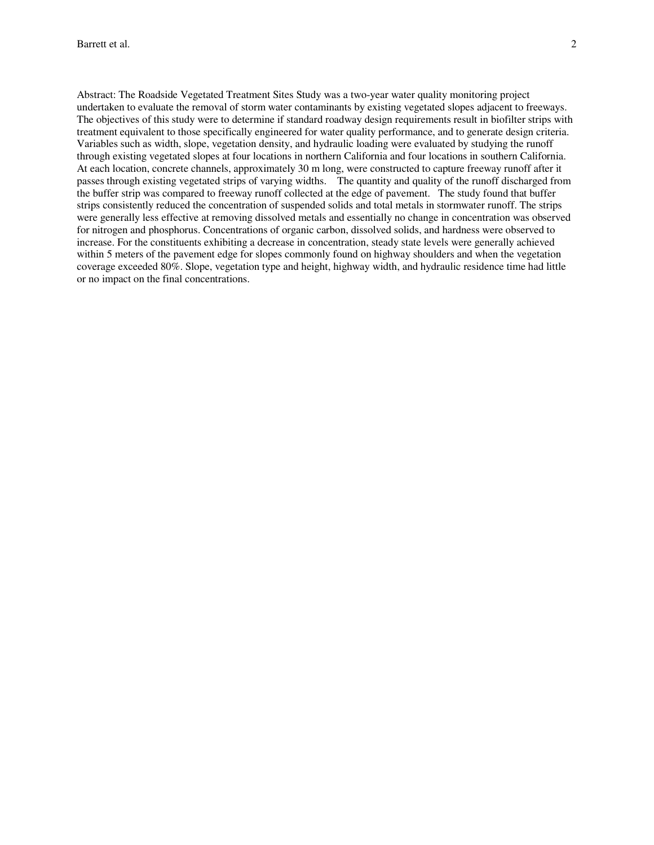Abstract: The Roadside Vegetated Treatment Sites Study was a two-year water quality monitoring project undertaken to evaluate the removal of storm water contaminants by existing vegetated slopes adjacent to freeways. The objectives of this study were to determine if standard roadway design requirements result in biofilter strips with treatment equivalent to those specifically engineered for water quality performance, and to generate design criteria. Variables such as width, slope, vegetation density, and hydraulic loading were evaluated by studying the runoff through existing vegetated slopes at four locations in northern California and four locations in southern California. At each location, concrete channels, approximately 30 m long, were constructed to capture freeway runoff after it passes through existing vegetated strips of varying widths. The quantity and quality of the runoff discharged from the buffer strip was compared to freeway runoff collected at the edge of pavement. The study found that buffer strips consistently reduced the concentration of suspended solids and total metals in stormwater runoff. The strips were generally less effective at removing dissolved metals and essentially no change in concentration was observed for nitrogen and phosphorus. Concentrations of organic carbon, dissolved solids, and hardness were observed to increase. For the constituents exhibiting a decrease in concentration, steady state levels were generally achieved within 5 meters of the pavement edge for slopes commonly found on highway shoulders and when the vegetation coverage exceeded 80%. Slope, vegetation type and height, highway width, and hydraulic residence time had little or no impact on the final concentrations.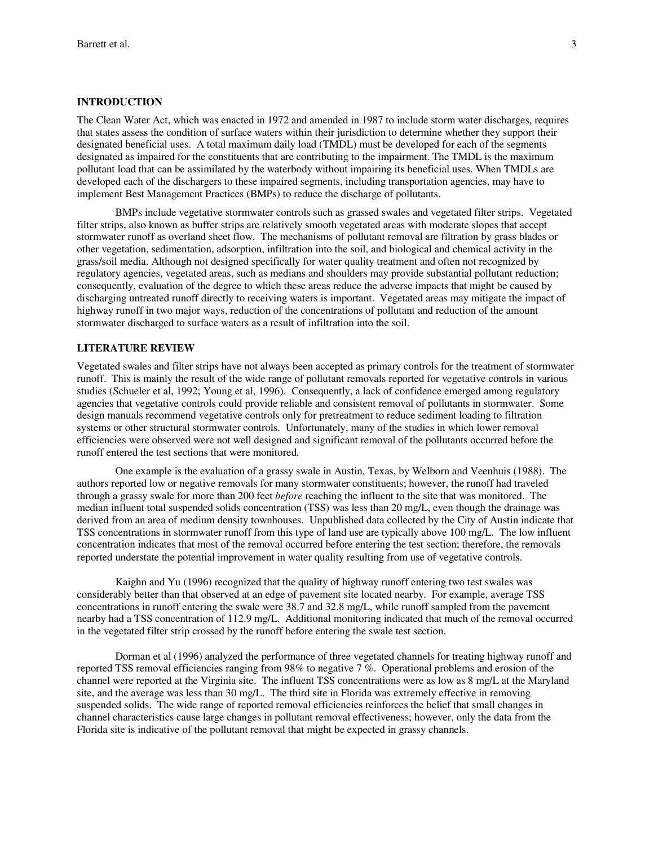#### **INTRODUCTION**

The Clean Water Act, which was enacted in 1972 and amended in 1987 to include storm water discharges, requires that states assess the condition of surface waters within their jurisdiction to determine whether they support their designated beneficial uses. A total maximum daily load (TMDL) must be developed for each of the segments designated as impaired for the constituents that are contributing to the impairment. The TMDL is the maximum pollutant load that can be assimilated by the waterbody without impairing its beneficial uses. When TMDLs are developed each of the dischargers to these impaired segments, including transportation agencies, may have to implement Best Management Practices (BMPs) to reduce the discharge of pollutants.

BMPs include vegetative stormwater controls such as grassed swales and vegetated filter strips. Vegetated filter strips, also known as buffer strips are relatively smooth vegetated areas with moderate slopes that accept stormwater runoff as overland sheet flow. The mechanisms of pollutant removal are filtration by grass blades or other vegetation, sedimentation, adsorption, infiltration into the soil, and biological and chemical activity in the grass/soil media. Although not designed specifically for water quality treatment and often not recognized by regulatory agencies, vegetated areas, such as medians and shoulders may provide substantial pollutant reduction; consequently, evaluation of the degree to which these areas reduce the adverse impacts that might be caused by discharging untreated runoff directly to receiving waters is important. Vegetated areas may mitigate the impact of highway runoff in two major ways, reduction of the concentrations of pollutant and reduction of the amount stormwater discharged to surface waters as a result of infiltration into the soil.

### **LITERATURE REVIEW**

Vegetated swales and filter strips have not always been accepted as primary controls for the treatment of stormwater runoff. This is mainly the result of the wide range of pollutant removals reported for vegetative controls in various studies (Schueler et al, 1992; Young et al, 1996). Consequently, a lack of confidence emerged among regulatory agencies that vegetative controls could provide reliable and consistent removal of pollutants in stormwater. Some design manuals recommend vegetative controls only for pretreatment to reduce sediment loading to filtration systems or other structural stormwater controls. Unfortunately, many of the studies in which lower removal efficiencies were observed were not well designed and significant removal of the pollutants occurred before the runoff entered the test sections that were monitored.

One example is the evaluation of a grassy swale in Austin, Texas, by Welborn and Veenhuis (1988). The authors reported low or negative removals for many stormwater constituents; however, the runoff had traveled through a grassy swale for more than 200 feet *before* reaching the influent to the site that was monitored. The median influent total suspended solids concentration (TSS) was less than 20 mg/L, even though the drainage was derived from an area of medium density townhouses. Unpublished data collected by the City of Austin indicate that TSS concentrations in stormwater runoff from this type of land use are typically above 100 mg/L. The low influent concentration indicates that most of the removal occurred before entering the test section; therefore, the removals reported understate the potential improvement in water quality resulting from use of vegetative controls.

Kaighn and Yu (1996) recognized that the quality of highway runoff entering two test swales was considerably better than that observed at an edge of pavement site located nearby. For example, average TSS concentrations in runoff entering the swale were 38.7 and 32.8 mg/L, while runoff sampled from the pavement nearby had a TSS concentration of 112.9 mg/L. Additional monitoring indicated that much of the removal occurred in the vegetated filter strip crossed by the runoff before entering the swale test section.

Dorman et al (1996) analyzed the performance of three vegetated channels for treating highway runoff and reported TSS removal efficiencies ranging from 98% to negative 7 %. Operational problems and erosion of the channel were reported at the Virginia site. The influent TSS concentrations were as low as 8 mg/L at the Maryland site, and the average was less than 30 mg/L. The third site in Florida was extremely effective in removing suspended solids. The wide range of reported removal efficiencies reinforces the belief that small changes in channel characteristics cause large changes in pollutant removal effectiveness; however, only the data from the Florida site is indicative of the pollutant removal that might be expected in grassy channels.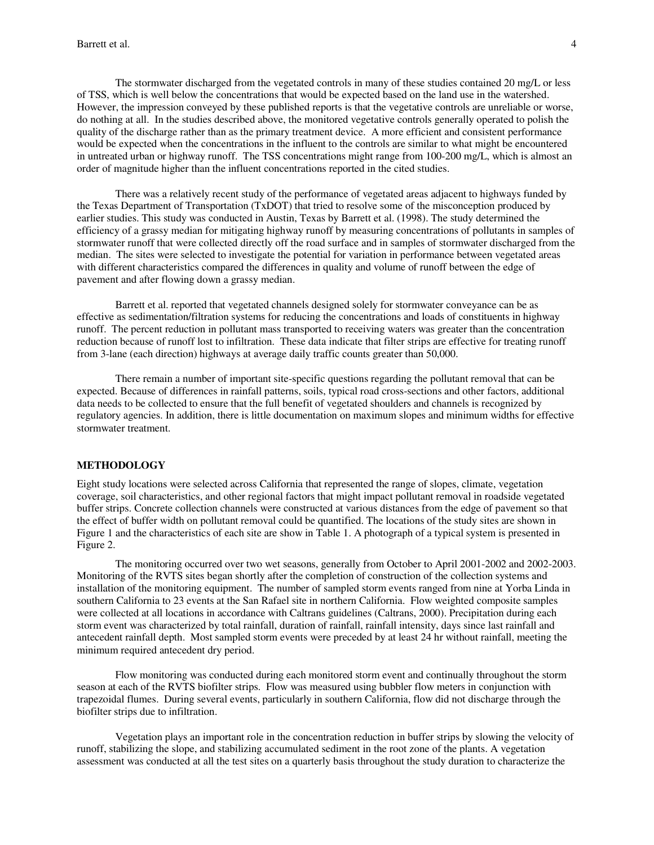The stormwater discharged from the vegetated controls in many of these studies contained 20 mg/L or less of TSS, which is well below the concentrations that would be expected based on the land use in the watershed. However, the impression conveyed by these published reports is that the vegetative controls are unreliable or worse, do nothing at all. In the studies described above, the monitored vegetative controls generally operated to polish the quality of the discharge rather than as the primary treatment device. A more efficient and consistent performance would be expected when the concentrations in the influent to the controls are similar to what might be encountered in untreated urban or highway runoff. The TSS concentrations might range from 100-200 mg/L, which is almost an order of magnitude higher than the influent concentrations reported in the cited studies.

There was a relatively recent study of the performance of vegetated areas adjacent to highways funded by the Texas Department of Transportation (TxDOT) that tried to resolve some of the misconception produced by earlier studies. This study was conducted in Austin, Texas by Barrett et al. (1998). The study determined the efficiency of a grassy median for mitigating highway runoff by measuring concentrations of pollutants in samples of stormwater runoff that were collected directly off the road surface and in samples of stormwater discharged from the median. The sites were selected to investigate the potential for variation in performance between vegetated areas with different characteristics compared the differences in quality and volume of runoff between the edge of pavement and after flowing down a grassy median.

Barrett et al. reported that vegetated channels designed solely for stormwater conveyance can be as effective as sedimentation/filtration systems for reducing the concentrations and loads of constituents in highway runoff. The percent reduction in pollutant mass transported to receiving waters was greater than the concentration reduction because of runoff lost to infiltration. These data indicate that filter strips are effective for treating runoff from 3-lane (each direction) highways at average daily traffic counts greater than 50,000.

There remain a number of important site-specific questions regarding the pollutant removal that can be expected. Because of differences in rainfall patterns, soils, typical road cross-sections and other factors, additional data needs to be collected to ensure that the full benefit of vegetated shoulders and channels is recognized by regulatory agencies. In addition, there is little documentation on maximum slopes and minimum widths for effective stormwater treatment.

#### **METHODOLOGY**

Eight study locations were selected across California that represented the range of slopes, climate, vegetation coverage, soil characteristics, and other regional factors that might impact pollutant removal in roadside vegetated buffer strips. Concrete collection channels were constructed at various distances from the edge of pavement so that the effect of buffer width on pollutant removal could be quantified. The locations of the study sites are shown in Figure 1 and the characteristics of each site are show in Table 1. A photograph of a typical system is presented in Figure 2.

The monitoring occurred over two wet seasons, generally from October to April 2001-2002 and 2002-2003. Monitoring of the RVTS sites began shortly after the completion of construction of the collection systems and installation of the monitoring equipment. The number of sampled storm events ranged from nine at Yorba Linda in southern California to 23 events at the San Rafael site in northern California. Flow weighted composite samples were collected at all locations in accordance with Caltrans guidelines (Caltrans, 2000). Precipitation during each storm event was characterized by total rainfall, duration of rainfall, rainfall intensity, days since last rainfall and antecedent rainfall depth. Most sampled storm events were preceded by at least 24 hr without rainfall, meeting the minimum required antecedent dry period.

Flow monitoring was conducted during each monitored storm event and continually throughout the storm season at each of the RVTS biofilter strips. Flow was measured using bubbler flow meters in conjunction with trapezoidal flumes. During several events, particularly in southern California, flow did not discharge through the biofilter strips due to infiltration.

Vegetation plays an important role in the concentration reduction in buffer strips by slowing the velocity of runoff, stabilizing the slope, and stabilizing accumulated sediment in the root zone of the plants. A vegetation assessment was conducted at all the test sites on a quarterly basis throughout the study duration to characterize the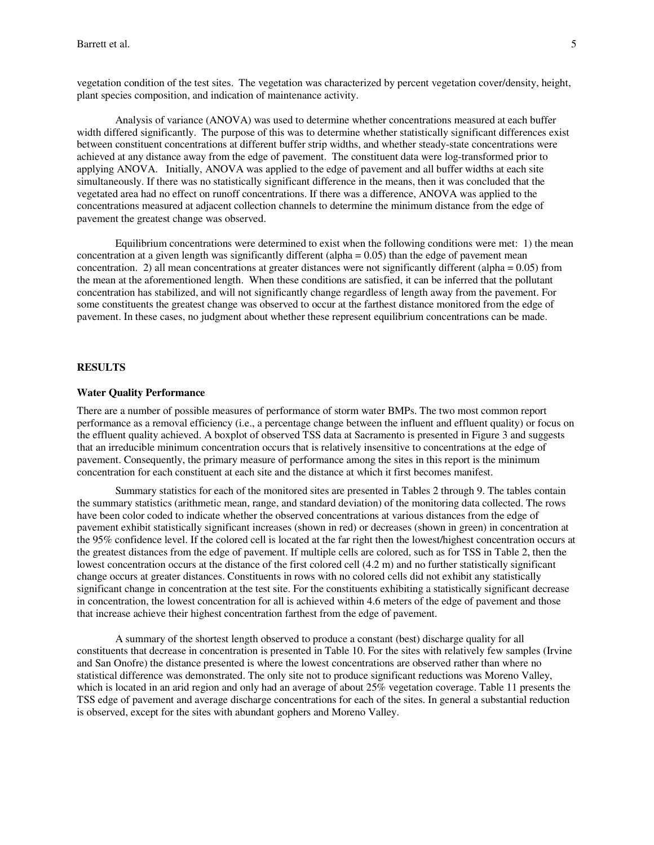vegetation condition of the test sites. The vegetation was characterized by percent vegetation cover/density, height, plant species composition, and indication of maintenance activity.

Analysis of variance (ANOVA) was used to determine whether concentrations measured at each buffer width differed significantly. The purpose of this was to determine whether statistically significant differences exist between constituent concentrations at different buffer strip widths, and whether steady-state concentrations were achieved at any distance away from the edge of pavement. The constituent data were log-transformed prior to applying ANOVA. Initially, ANOVA was applied to the edge of pavement and all buffer widths at each site simultaneously. If there was no statistically significant difference in the means, then it was concluded that the vegetated area had no effect on runoff concentrations. If there was a difference, ANOVA was applied to the concentrations measured at adjacent collection channels to determine the minimum distance from the edge of pavement the greatest change was observed.

Equilibrium concentrations were determined to exist when the following conditions were met: 1) the mean concentration at a given length was significantly different (alpha  $= 0.05$ ) than the edge of pavement mean concentration. 2) all mean concentrations at greater distances were not significantly different (alpha  $= 0.05$ ) from the mean at the aforementioned length. When these conditions are satisfied, it can be inferred that the pollutant concentration has stabilized, and will not significantly change regardless of length away from the pavement. For some constituents the greatest change was observed to occur at the farthest distance monitored from the edge of pavement. In these cases, no judgment about whether these represent equilibrium concentrations can be made.

#### **RESULTS**

### **Water Quality Performance**

There are a number of possible measures of performance of storm water BMPs. The two most common report performance as a removal efficiency (i.e., a percentage change between the influent and effluent quality) or focus on the effluent quality achieved. A boxplot of observed TSS data at Sacramento is presented in Figure 3 and suggests that an irreducible minimum concentration occurs that is relatively insensitive to concentrations at the edge of pavement. Consequently, the primary measure of performance among the sites in this report is the minimum concentration for each constituent at each site and the distance at which it first becomes manifest.

Summary statistics for each of the monitored sites are presented in Tables 2 through 9. The tables contain the summary statistics (arithmetic mean, range, and standard deviation) of the monitoring data collected. The rows have been color coded to indicate whether the observed concentrations at various distances from the edge of pavement exhibit statistically significant increases (shown in red) or decreases (shown in green) in concentration at the 95% confidence level. If the colored cell is located at the far right then the lowest/highest concentration occurs at the greatest distances from the edge of pavement. If multiple cells are colored, such as for TSS in Table 2, then the lowest concentration occurs at the distance of the first colored cell (4.2 m) and no further statistically significant change occurs at greater distances. Constituents in rows with no colored cells did not exhibit any statistically significant change in concentration at the test site. For the constituents exhibiting a statistically significant decrease in concentration, the lowest concentration for all is achieved within 4.6 meters of the edge of pavement and those that increase achieve their highest concentration farthest from the edge of pavement.

A summary of the shortest length observed to produce a constant (best) discharge quality for all constituents that decrease in concentration is presented in Table 10. For the sites with relatively few samples (Irvine and San Onofre) the distance presented is where the lowest concentrations are observed rather than where no statistical difference was demonstrated. The only site not to produce significant reductions was Moreno Valley, which is located in an arid region and only had an average of about 25% vegetation coverage. Table 11 presents the TSS edge of pavement and average discharge concentrations for each of the sites. In general a substantial reduction is observed, except for the sites with abundant gophers and Moreno Valley.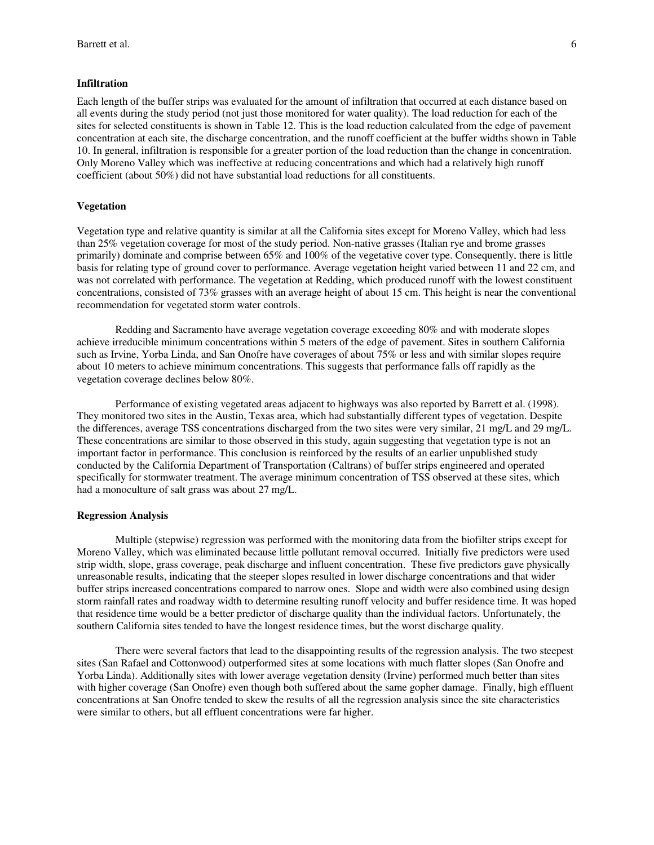#### **Infiltration**

Each length of the buffer strips was evaluated for the amount of infiltration that occurred at each distance based on all events during the study period (not just those monitored for water quality). The load reduction for each of the sites for selected constituents is shown in Table 12. This is the load reduction calculated from the edge of pavement concentration at each site, the discharge concentration, and the runoff coefficient at the buffer widths shown in Table 10. In general, infiltration is responsible for a greater portion of the load reduction than the change in concentration. Only Moreno Valley which was ineffective at reducing concentrations and which had a relatively high runoff coefficient (about 50%) did not have substantial load reductions for all constituents.

### **Vegetation**

Vegetation type and relative quantity is similar at all the California sites except for Moreno Valley, which had less than 25% vegetation coverage for most of the study period. Non-native grasses (Italian rye and brome grasses primarily) dominate and comprise between 65% and 100% of the vegetative cover type. Consequently, there is little basis for relating type of ground cover to performance. Average vegetation height varied between 11 and 22 cm, and was not correlated with performance. The vegetation at Redding, which produced runoff with the lowest constituent concentrations, consisted of 73% grasses with an average height of about 15 cm. This height is near the conventional recommendation for vegetated storm water controls.

Redding and Sacramento have average vegetation coverage exceeding 80% and with moderate slopes achieve irreducible minimum concentrations within 5 meters of the edge of pavement. Sites in southern California such as Irvine, Yorba Linda, and San Onofre have coverages of about 75% or less and with similar slopes require about 10 meters to achieve minimum concentrations. This suggests that performance falls off rapidly as the vegetation coverage declines below 80%.

Performance of existing vegetated areas adjacent to highways was also reported by Barrett et al. (1998). They monitored two sites in the Austin, Texas area, which had substantially different types of vegetation. Despite the differences, average TSS concentrations discharged from the two sites were very similar, 21 mg/L and 29 mg/L. These concentrations are similar to those observed in this study, again suggesting that vegetation type is not an important factor in performance. This conclusion is reinforced by the results of an earlier unpublished study conducted by the California Department of Transportation (Caltrans) of buffer strips engineered and operated specifically for stormwater treatment. The average minimum concentration of TSS observed at these sites, which had a monoculture of salt grass was about 27 mg/L.

#### **Regression Analysis**

Multiple (stepwise) regression was performed with the monitoring data from the biofilter strips except for Moreno Valley, which was eliminated because little pollutant removal occurred. Initially five predictors were used strip width, slope, grass coverage, peak discharge and influent concentration. These five predictors gave physically unreasonable results, indicating that the steeper slopes resulted in lower discharge concentrations and that wider buffer strips increased concentrations compared to narrow ones. Slope and width were also combined using design storm rainfall rates and roadway width to determine resulting runoff velocity and buffer residence time. It was hoped that residence time would be a better predictor of discharge quality than the individual factors. Unfortunately, the southern California sites tended to have the longest residence times, but the worst discharge quality.

There were several factors that lead to the disappointing results of the regression analysis. The two steepest sites (San Rafael and Cottonwood) outperformed sites at some locations with much flatter slopes (San Onofre and Yorba Linda). Additionally sites with lower average vegetation density (Irvine) performed much better than sites with higher coverage (San Onofre) even though both suffered about the same gopher damage. Finally, high effluent concentrations at San Onofre tended to skew the results of all the regression analysis since the site characteristics were similar to others, but all effluent concentrations were far higher.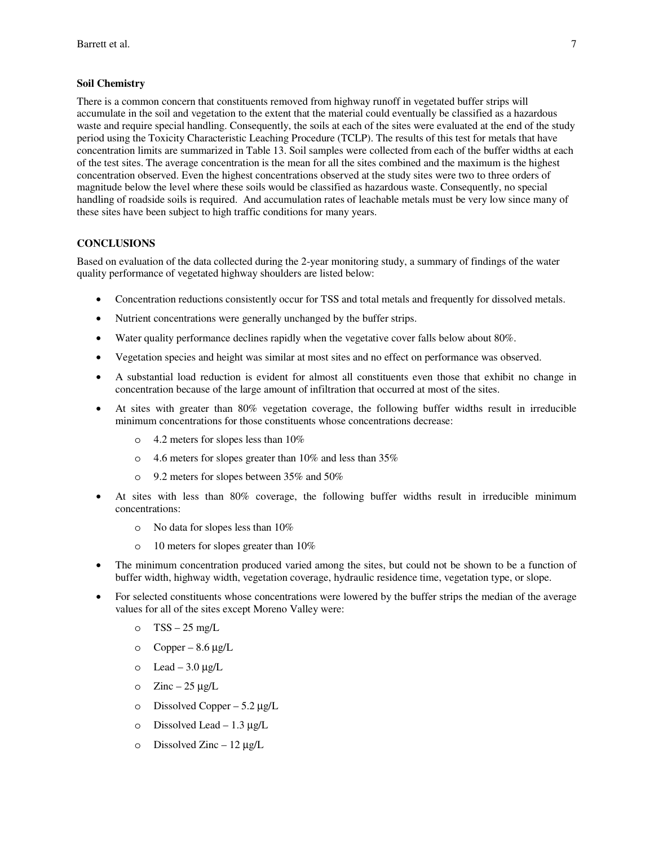#### **Soil Chemistry**

There is a common concern that constituents removed from highway runoff in vegetated buffer strips will accumulate in the soil and vegetation to the extent that the material could eventually be classified as a hazardous waste and require special handling. Consequently, the soils at each of the sites were evaluated at the end of the study period using the Toxicity Characteristic Leaching Procedure (TCLP). The results of this test for metals that have concentration limits are summarized in Table 13. Soil samples were collected from each of the buffer widths at each of the test sites. The average concentration is the mean for all the sites combined and the maximum is the highest concentration observed. Even the highest concentrations observed at the study sites were two to three orders of magnitude below the level where these soils would be classified as hazardous waste. Consequently, no special handling of roadside soils is required. And accumulation rates of leachable metals must be very low since many of these sites have been subject to high traffic conditions for many years.

### **CONCLUSIONS**

Based on evaluation of the data collected during the 2-year monitoring study, a summary of findings of the water quality performance of vegetated highway shoulders are listed below:

- Concentration reductions consistently occur for TSS and total metals and frequently for dissolved metals.
- Nutrient concentrations were generally unchanged by the buffer strips.
- Water quality performance declines rapidly when the vegetative cover falls below about 80%.
- Vegetation species and height was similar at most sites and no effect on performance was observed.
- A substantial load reduction is evident for almost all constituents even those that exhibit no change in concentration because of the large amount of infiltration that occurred at most of the sites.
- At sites with greater than 80% vegetation coverage, the following buffer widths result in irreducible minimum concentrations for those constituents whose concentrations decrease:
	- o 4.2 meters for slopes less than 10%
	- o 4.6 meters for slopes greater than 10% and less than 35%
	- o 9.2 meters for slopes between 35% and 50%
- At sites with less than 80% coverage, the following buffer widths result in irreducible minimum concentrations:
	- o No data for slopes less than 10%
	- o 10 meters for slopes greater than 10%
- The minimum concentration produced varied among the sites, but could not be shown to be a function of buffer width, highway width, vegetation coverage, hydraulic residence time, vegetation type, or slope.
- For selected constituents whose concentrations were lowered by the buffer strips the median of the average values for all of the sites except Moreno Valley were:
	- o  $TSS 25$  mg/L
	- o Copper  $8.6 \mu g/L$
	- o Lead  $3.0 \mu g/L$
	- o Zinc  $25 \mu g/L$
	- o Dissolved Copper  $5.2 \mu g/L$
	- o Dissolved Lead  $1.3 \mu g/L$
	- o Dissolved Zinc  $12 \mu g/L$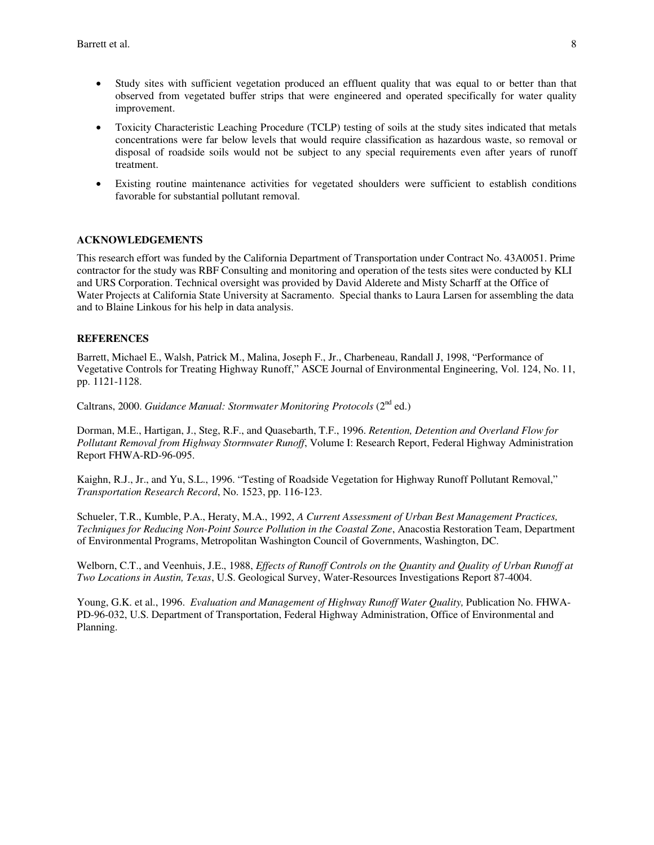- Study sites with sufficient vegetation produced an effluent quality that was equal to or better than that observed from vegetated buffer strips that were engineered and operated specifically for water quality improvement.
- Toxicity Characteristic Leaching Procedure (TCLP) testing of soils at the study sites indicated that metals concentrations were far below levels that would require classification as hazardous waste, so removal or disposal of roadside soils would not be subject to any special requirements even after years of runoff treatment.
- Existing routine maintenance activities for vegetated shoulders were sufficient to establish conditions favorable for substantial pollutant removal.

### **ACKNOWLEDGEMENTS**

This research effort was funded by the California Department of Transportation under Contract No. 43A0051. Prime contractor for the study was RBF Consulting and monitoring and operation of the tests sites were conducted by KLI and URS Corporation. Technical oversight was provided by David Alderete and Misty Scharff at the Office of Water Projects at California State University at Sacramento. Special thanks to Laura Larsen for assembling the data and to Blaine Linkous for his help in data analysis.

#### **REFERENCES**

Barrett, Michael E., Walsh, Patrick M., Malina, Joseph F., Jr., Charbeneau, Randall J, 1998, "Performance of Vegetative Controls for Treating Highway Runoff," ASCE Journal of Environmental Engineering, Vol. 124, No. 11, pp. 1121-1128.

Caltrans, 2000. *Guidance Manual: Stormwater Monitoring Protocols* (2<sup>nd</sup> ed.)

Dorman, M.E., Hartigan, J., Steg, R.F., and Quasebarth, T.F., 1996. *Retention, Detention and Overland Flow for Pollutant Removal from Highway Stormwater Runoff*, Volume I: Research Report, Federal Highway Administration Report FHWA-RD-96-095.

Kaighn, R.J., Jr., and Yu, S.L., 1996. "Testing of Roadside Vegetation for Highway Runoff Pollutant Removal," *Transportation Research Record*, No. 1523, pp. 116-123.

Schueler, T.R., Kumble, P.A., Heraty, M.A., 1992, *A Current Assessment of Urban Best Management Practices, Techniques for Reducing Non-Point Source Pollution in the Coastal Zone*, Anacostia Restoration Team, Department of Environmental Programs, Metropolitan Washington Council of Governments, Washington, DC.

Welborn, C.T., and Veenhuis, J.E., 1988, *Effects of Runoff Controls on the Quantity and Quality of Urban Runoff at Two Locations in Austin, Texas*, U.S. Geological Survey, Water-Resources Investigations Report 87-4004.

Young, G.K. et al., 1996. *Evaluation and Management of Highway Runoff Water Quality,* Publication No. FHWA-PD-96-032, U.S. Department of Transportation, Federal Highway Administration, Office of Environmental and Planning.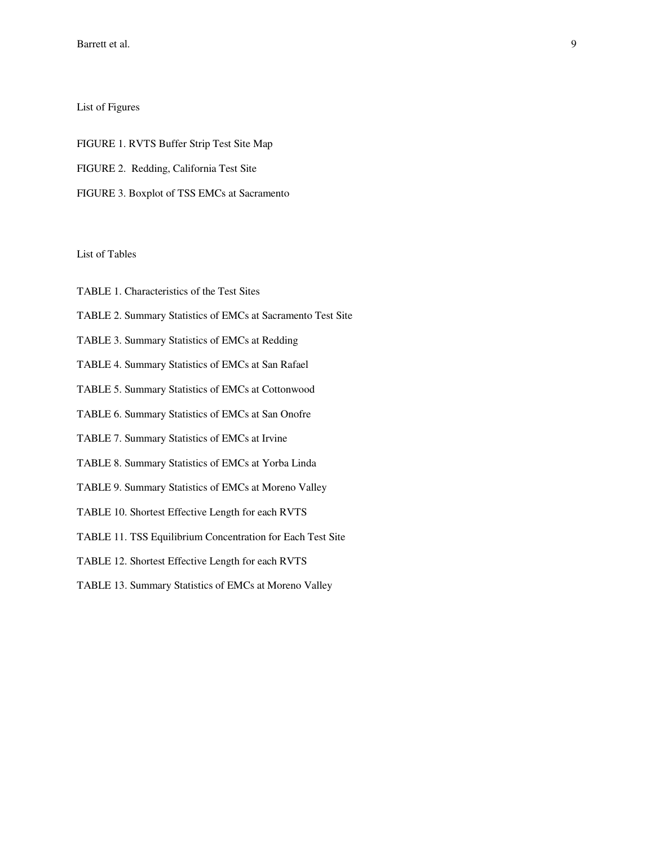Barrett et al.

### List of Figures

FIGURE 1. RVTS Buffer Strip Test Site Map FIGURE 2. Redding, California Test Site FIGURE 3. Boxplot of TSS EMCs at Sacramento

### List of Tables

- TABLE 1. Characteristics of the Test Sites
- TABLE 2. Summary Statistics of EMCs at Sacramento Test Site
- TABLE 3. Summary Statistics of EMCs at Redding
- TABLE 4. Summary Statistics of EMCs at San Rafael
- TABLE 5. Summary Statistics of EMCs at Cottonwood
- TABLE 6. Summary Statistics of EMCs at San Onofre
- TABLE 7. Summary Statistics of EMCs at Irvine
- TABLE 8. Summary Statistics of EMCs at Yorba Linda
- TABLE 9. Summary Statistics of EMCs at Moreno Valley
- TABLE 10. Shortest Effective Length for each RVTS
- TABLE 11. TSS Equilibrium Concentration for Each Test Site
- TABLE 12. Shortest Effective Length for each RVTS
- TABLE 13. Summary Statistics of EMCs at Moreno Valley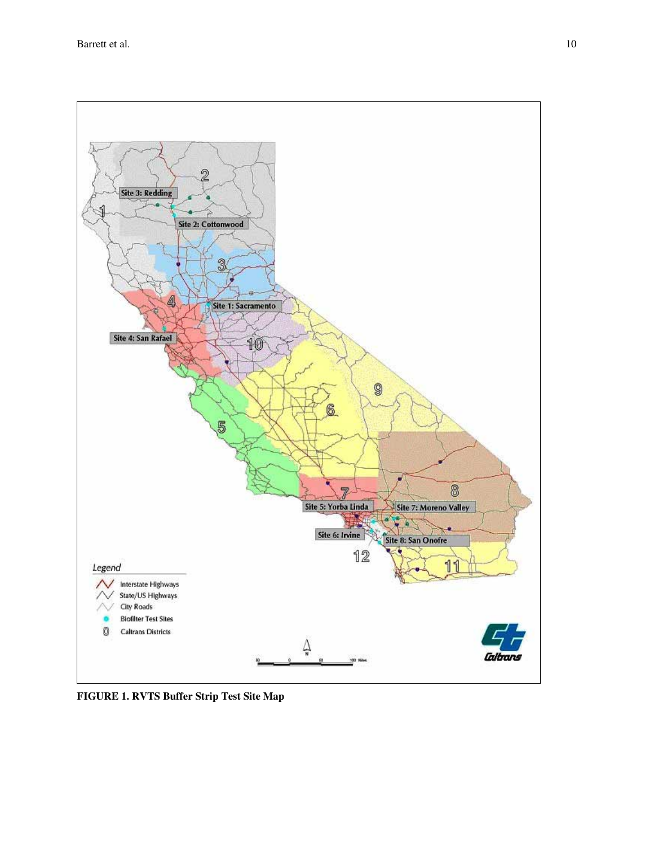

**FIGURE 1. RVTS Buffer Strip Test Site Map**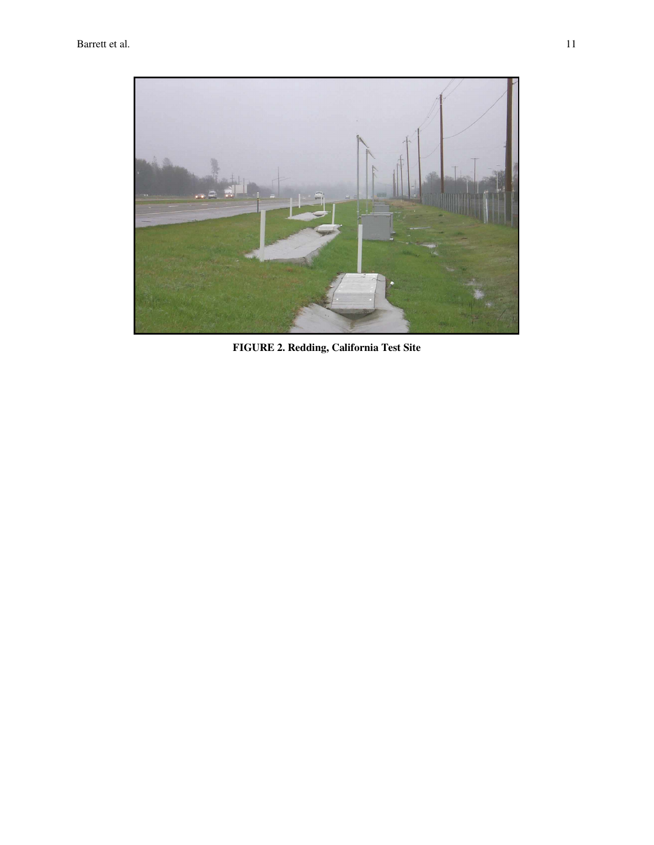

**FIGURE 2. Redding, California Test Site**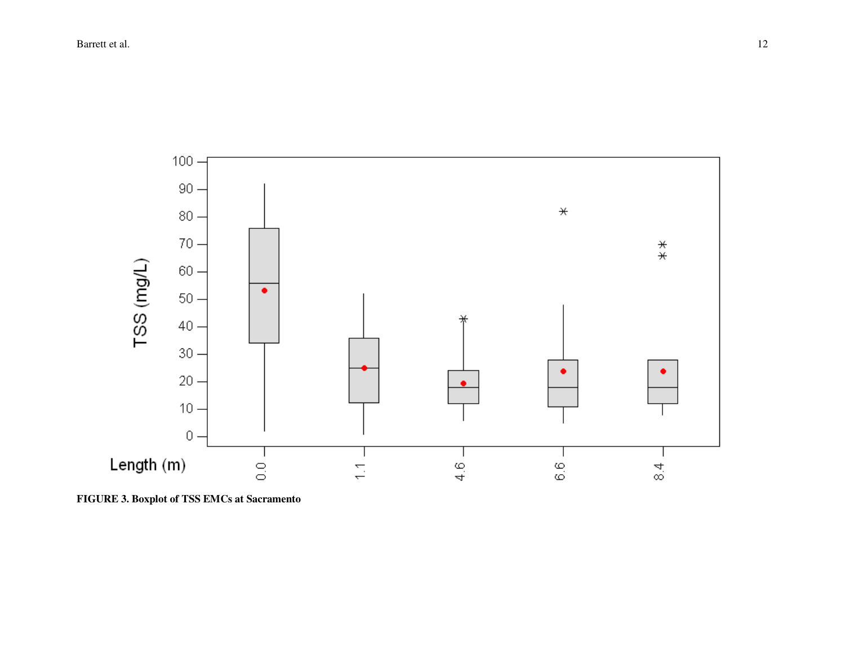

**FIGURE 3. Boxplot of TSS EMCs at Sacramento**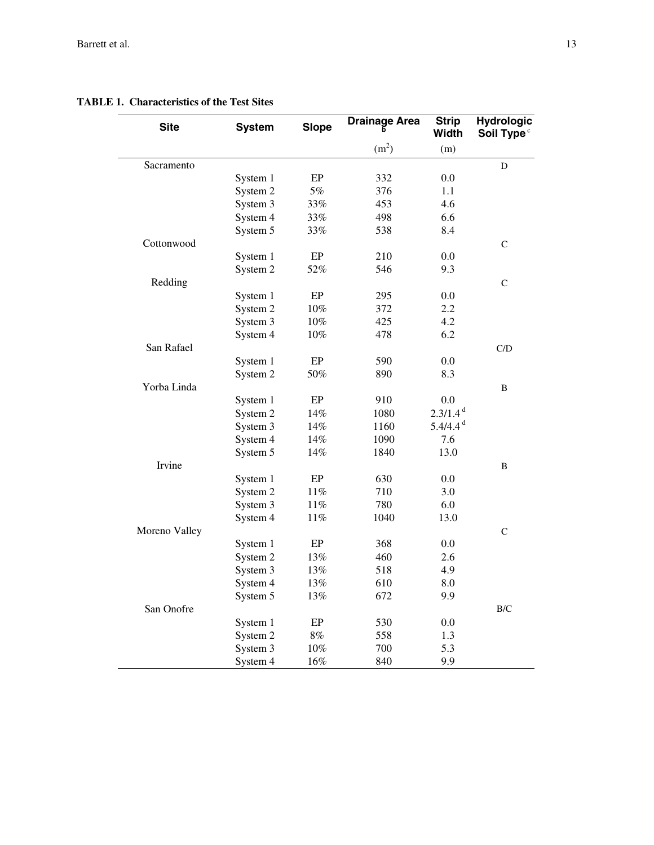### **TABLE 1. Characteristics of the Test Sites**

| <b>Site</b>   | <b>System</b> | <b>Slope</b> | <b>Drainage Area</b> | <b>Strip</b><br><b>Width</b> | <b>Hydrologic</b><br>Soil Type <sup>c</sup> |
|---------------|---------------|--------------|----------------------|------------------------------|---------------------------------------------|
|               |               |              | (m <sup>2</sup> )    | (m)                          |                                             |
| Sacramento    |               |              |                      |                              | D                                           |
|               | System 1      | EP           | 332                  | $0.0\,$                      |                                             |
|               | System 2      | 5%           | 376                  | 1.1                          |                                             |
|               | System 3      | 33%          | 453                  | 4.6                          |                                             |
|               | System 4      | 33%          | 498                  | 6.6                          |                                             |
|               | System 5      | 33%          | 538                  | 8.4                          |                                             |
| Cottonwood    |               |              |                      |                              | $\mathsf C$                                 |
|               | System 1      | EP           | 210                  | $0.0\,$                      |                                             |
|               | System 2      | 52%          | 546                  | 9.3                          |                                             |
| Redding       |               |              |                      |                              | $\mathsf{C}$                                |
|               | System 1      | EP           | 295                  | $0.0\,$                      |                                             |
|               | System 2      | $10\%$       | 372                  | $2.2^{\circ}$                |                                             |
|               | System 3      | $10\%$       | 425                  | 4.2                          |                                             |
|               | System 4      | $10\%$       | 478                  | 6.2                          |                                             |
| San Rafael    |               |              |                      |                              | C/D                                         |
|               | System 1      | EP           | 590                  | 0.0                          |                                             |
|               | System 2      | 50%          | 890                  | 8.3                          |                                             |
| Yorba Linda   |               |              |                      |                              | B                                           |
|               | System 1      | EP           | 910                  | 0.0                          |                                             |
|               | System 2      | 14%          | 1080                 | $2.3/1.4^{d}$                |                                             |
|               | System 3      | 14%          | 1160                 | $5.4/4.4^d$                  |                                             |
|               | System 4      | 14%          | 1090                 | 7.6                          |                                             |
|               | System 5      | 14%          | 1840                 | 13.0                         |                                             |
| Irvine        |               |              |                      |                              | B                                           |
|               | System 1      | EP           | 630                  | 0.0                          |                                             |
|               | System 2      | $11\%$       | 710                  | 3.0                          |                                             |
|               | System 3      | $11\%$       | 780                  | 6.0                          |                                             |
|               | System 4      | $11\%$       | 1040                 | 13.0                         |                                             |
| Moreno Valley |               |              |                      |                              | $\mathsf C$                                 |
|               | System 1      | EP           | 368                  | $0.0\,$                      |                                             |
|               | System 2      | 13%          | 460                  | 2.6                          |                                             |
|               | System 3      | 13%          | 518                  | 4.9                          |                                             |
|               | System 4      | 13%          | 610                  | 8.0                          |                                             |
|               | System 5      | 13%          | 672                  | 9.9                          |                                             |
| San Onofre    |               |              |                      |                              | $\rm B/C$                                   |
|               | System 1      | EP           | 530                  | $0.0\,$                      |                                             |
|               | System 2      | $8\%$        | 558                  | 1.3                          |                                             |
|               | System 3      | $10\%$       | 700                  | 5.3                          |                                             |
|               | System 4      | $16\%$       | 840                  | 9.9                          |                                             |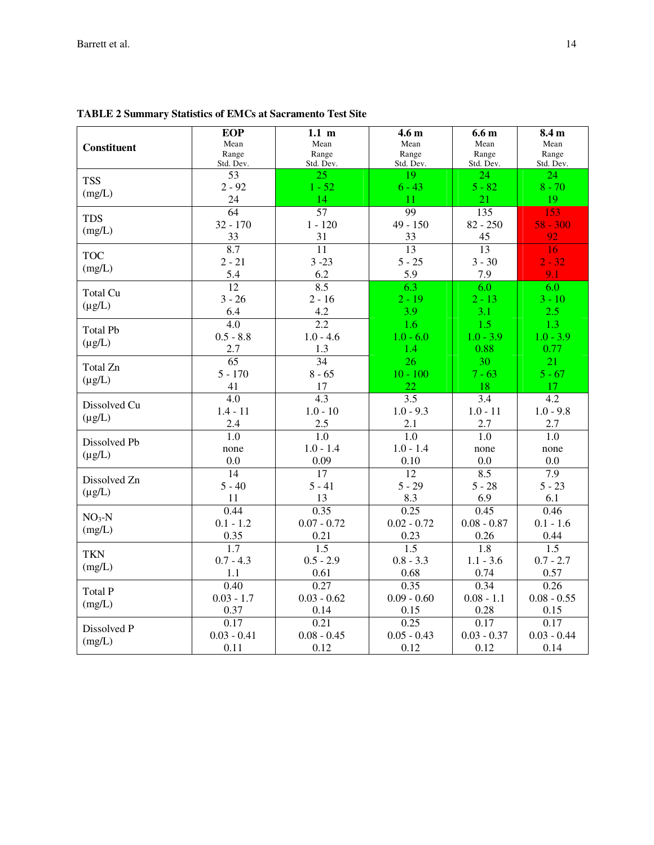|                         | <b>EOP</b>       | $1.1 \text{ m}$  | 4.6 <sub>m</sub> | 6.6 <sub>m</sub> | 8.4 m            |
|-------------------------|------------------|------------------|------------------|------------------|------------------|
| Constituent             | Mean             | Mean             | Mean             | Mean             | Mean             |
|                         | Range            | Range            | Range            | Range            | Range            |
|                         | Std. Dev.        | Std. Dev.        | Std. Dev.        | Std. Dev.        | Std. Dev.        |
| <b>TSS</b>              | 53               | 25               | 19               | 24               | 24               |
| (mg/L)                  | $2 - 92$         | $1 - 52$         | $6 - 43$         | $5 - 82$         | $8 - 70$         |
|                         | 24               | 14               | 11               | 21               | 19               |
| <b>TDS</b>              | $\overline{64}$  | 57               | 99               | 135              | 153              |
| (mg/L)                  | $32 - 170$       | $1 - 120$        | $49 - 150$       | $82 - 250$       | $58 - 300$       |
|                         | 33               | 31               | 33               | 45               | 92               |
| <b>TOC</b>              | 8.7              | 11               | 13               | 13               | 16               |
| (mg/L)                  | $2 - 21$         | $3 - 23$         | $5 - 25$         | $3 - 30$         | $2 - 32$         |
|                         | 5.4              | 6.2              | 5.9              | 7.9              | 9.1              |
|                         | $\overline{12}$  | 8.5              | 6.3              | 6.0              | 6.0              |
| Total Cu                | $3 - 26$         | $2 - 16$         | $2 - 19$         | $2 - 13$         | $3 - 10$         |
| $(\mu g/L)$             | 6.4              | 4.2              | 3.9              | 3.1              | 2.5              |
|                         | $\overline{4.0}$ | $\overline{2.2}$ | $\overline{1.6}$ | $\overline{1.5}$ | 1.3              |
| <b>Total Pb</b>         | $0.5 - 8.8$      | $1.0 - 4.6$      | $1.0 - 6.0$      | $1.0 - 3.9$      | $1.0 - 3.9$      |
| $(\mu g/L)$             | 2.7              | 1.3              | 1.4              | 0.88             | 0.77             |
|                         | 65               | 34               | 26               | $\overline{30}$  | 21               |
| Total Zn<br>$(\mu g/L)$ | $5 - 170$        | $8 - 65$         | $10 - 100$       | $7 - 63$         | $5 - 67$         |
|                         | 41               | 17               | 22               | 18               | 17               |
|                         | 4.0              | $\overline{4.3}$ | 3.5              | 3.4              | 4.2              |
| Dissolved Cu            | $1.4 - 11$       | $1.0 - 10$       | $1.0 - 9.3$      | $1.0 - 11$       | $1.0 - 9.8$      |
| $(\mu g/L)$             | 2.4              | 2.5              | 2.1              | 2.7              | 2.7              |
|                         | 1.0              | 1.0              | 1.0              | 1.0              | 1.0              |
| Dissolved Pb            | none             | $1.0 - 1.4$      | $1.0 - 1.4$      | none             | none             |
| $(\mu g/L)$             | 0.0              | 0.09             | 0.10             | 0.0              | 0.0              |
|                         | 14               | 17               | 12               | 8.5              | 7.9              |
| Dissolved Zn            | $5 - 40$         | $5 - 41$         | $5 - 29$         | $5 - 28$         | $5 - 23$         |
| $(\mu g/L)$             | 11               | 13               | 8.3              | 6.9              | 6.1              |
|                         | 0.44             | 0.35             | 0.25             | 0.45             | 0.46             |
| $NO3-N$                 | $0.1 - 1.2$      | $0.07 - 0.72$    | $0.02 - 0.72$    | $0.08 - 0.87$    | $0.1 - 1.6$      |
| (mg/L)                  | 0.35             | 0.21             | 0.23             | 0.26             | 0.44             |
|                         | $\overline{1.7}$ | $\overline{1.5}$ | $\overline{1.5}$ | $\overline{1.8}$ | $\overline{1.5}$ |
| <b>TKN</b>              | $0.7 - 4.3$      | $0.5 - 2.9$      | $0.8 - 3.3$      | $1.1 - 3.6$      | $0.7 - 2.7$      |
| (mg/L)                  | 1.1              | 0.61             | 0.68             | 0.74             | 0.57             |
|                         | 0.40             | 0.27             | 0.35             | 0.34             | 0.26             |
| Total P                 | $0.03 - 1.7$     | $0.03 - 0.62$    | $0.09 - 0.60$    | $0.08 - 1.1$     | $0.08 - 0.55$    |
| (mg/L)                  | 0.37             | 0.14             | 0.15             | 0.28             | 0.15             |
|                         | 0.17             | 0.21             | 0.25             | 0.17             | 0.17             |
| Dissolved P             | $0.03 - 0.41$    | $0.08 - 0.45$    | $0.05 - 0.43$    | $0.03 - 0.37$    | $0.03 - 0.44$    |
| (mg/L)                  | 0.11             | 0.12             | 0.12             | 0.12             | 0.14             |

**TABLE 2 Summary Statistics of EMCs at Sacramento Test Site**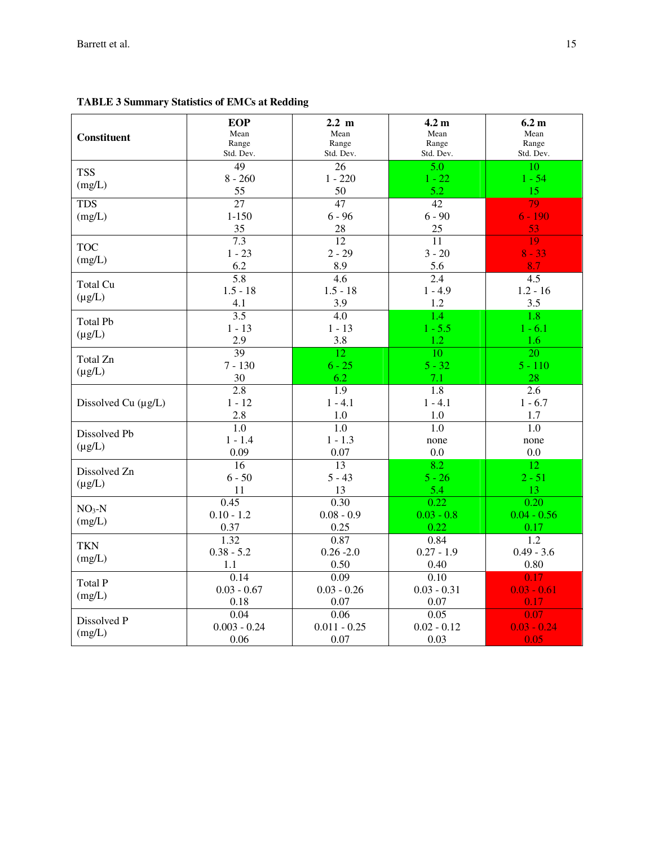| <b>Constituent</b>             | <b>EOP</b><br>Mean<br>Range<br>Std. Dev. | $2.2 \text{ m}$<br>Mean<br>Range<br>Std. Dev. | 4.2 <sub>m</sub><br>Mean<br>Range<br>Std. Dev. | 6.2 <sub>m</sub><br>Mean<br>Range<br>Std. Dev. |
|--------------------------------|------------------------------------------|-----------------------------------------------|------------------------------------------------|------------------------------------------------|
| <b>TSS</b><br>(mg/L)           | 49<br>$8 - 260$<br>55                    | 26<br>$1 - 220$<br>50                         | 5.0<br>$1 - 22$<br>5.2                         | 10<br>$1 - 54$<br>15                           |
| <b>TDS</b><br>(mg/L)           | $\overline{27}$<br>$1 - 150$<br>35       | 47<br>$6 - 96$<br>28                          | $\overline{42}$<br>$6 - 90$<br>25              | 79<br>$6 - 190$<br>53                          |
| <b>TOC</b><br>(mg/L)           | 7.3<br>$1 - 23$<br>6.2                   | 12<br>$2 - 29$<br>8.9                         | 11<br>$3 - 20$<br>5.6                          | 19<br>$8 - 33$<br>8.7                          |
| Total Cu<br>$(\mu g/L)$        | $\overline{5.8}$<br>$1.5 - 18$<br>4.1    | 4.6<br>$1.5 - 18$<br>3.9                      | 2.4<br>$1 - 4.9$<br>1.2                        | 4.5<br>$1.2 - 16$<br>3.5                       |
| <b>Total Pb</b><br>$(\mu g/L)$ | $\overline{3.5}$<br>$1 - 13$<br>2.9      | 4.0<br>$1 - 13$<br>3.8                        | 1.4<br>$1 - 5.5$<br>1.2                        | 1.8<br>$1 - 6.1$<br>1.6                        |
| Total Zn<br>$(\mu g/L)$        | $\overline{39}$<br>$7 - 130$<br>30       | 12<br>$6 - 25$<br>6.2                         | $\overline{10}$<br>$5 - 32$<br>7.1             | $\overline{20}$<br>$5 - 110$<br>28             |
| Dissolved Cu $(\mu g/L)$       | 2.8<br>$1 - 12$<br>2.8                   | 1.9<br>$1 - 4.1$<br>1.0                       | 1.8<br>$1 - 4.1$<br>1.0                        | 2.6<br>$1 - 6.7$<br>1.7                        |
| Dissolved Pb<br>$(\mu g/L)$    | 1.0<br>$1 - 1.4$<br>0.09                 | 1.0<br>$1 - 1.3$<br>0.07                      | 1.0<br>none<br>0.0                             | 1.0<br>none<br>0.0                             |
| Dissolved Zn<br>$(\mu g/L)$    | 16<br>$6 - 50$<br>11                     | 13<br>$5 - 43$<br>13                          | 8.2<br>$5 - 26$<br>5.4                         | 12<br>$2 - 51$<br>13                           |
| $NO3-N$<br>(mg/L)              | 0.45<br>$0.10 - 1.2$<br>0.37             | 0.30<br>$0.08 - 0.9$<br>0.25                  | 0.22<br>$0.03 - 0.8$<br>0.22                   | 0.20<br>$0.04 - 0.56$<br>0.17                  |
| <b>TKN</b><br>(mg/L)           | 1.32<br>$0.38 - 5.2$<br>1.1              | 0.87<br>$0.26 - 2.0$<br>0.50                  | 0.84<br>$0.27 - 1.9$<br>0.40                   | 1.2<br>$0.49 - 3.6$<br>0.80                    |
| <b>Total P</b><br>(mg/L)       | 0.14<br>$0.03 - 0.67$<br>0.18            | 0.09<br>$0.03 - 0.26$<br>0.07                 | 0.10<br>$0.03 - 0.31$<br>0.07                  | 0.17<br>$0.03 - 0.61$<br>0.17                  |
| Dissolved P<br>(mg/L)          | 0.04<br>$0.003 - 0.24$<br>0.06           | 0.06<br>$0.011 - 0.25$<br>0.07                | 0.05<br>$0.02 - 0.12$<br>0.03                  | 0.07<br>$0.03 - 0.24$<br>0.05                  |

# **TABLE 3 Summary Statistics of EMCs at Redding**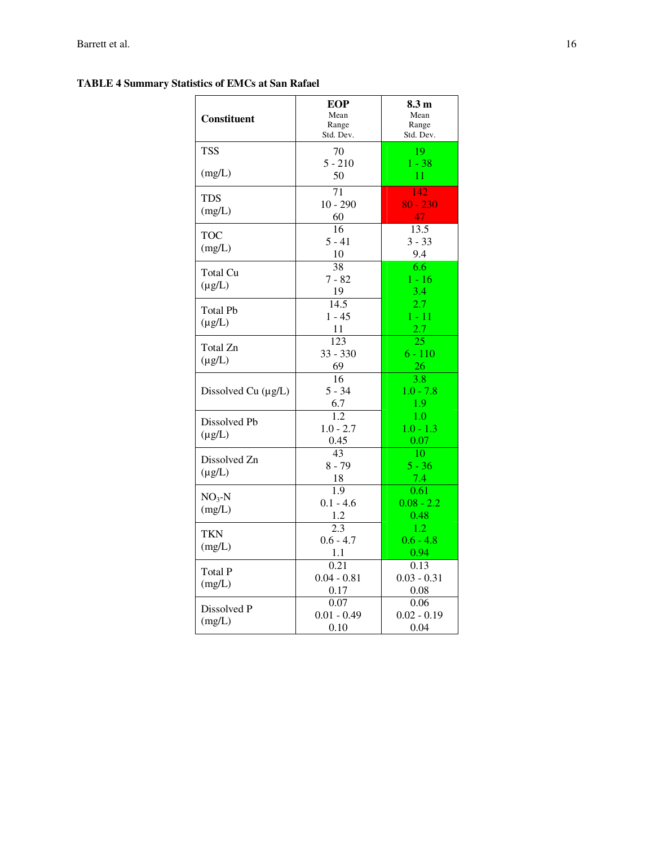### **TABLE 4 Summary Statistics of EMCs at San Rafael**

| <b>Constituent</b>             | <b>EOP</b><br>Mean<br>Range<br>Std. Dev. | 8.3 <sub>m</sub><br>Mean<br>Range<br>Std. Dev.       |
|--------------------------------|------------------------------------------|------------------------------------------------------|
| <b>TSS</b>                     | 70                                       | 19                                                   |
| (mg/L)                         | $5 - 210$<br>50                          | $1 - 38$<br>11                                       |
| TDS<br>(mg/L)                  | 71<br>$10 - 290$<br>60                   | 142<br>$80 - 230$<br>47                              |
| <b>TOC</b><br>(mg/L)           | 16<br>$5 - 41$<br>10                     | 13.5<br>$3 - 33$<br>9.4                              |
| <b>Total Cu</b><br>$(\mu g/L)$ | 38<br>$7 - 82$<br>19                     | 6.6<br>$1 - 16$<br>3.4                               |
| <b>Total Pb</b><br>$(\mu g/L)$ | 14.5<br>$1 - 45$<br>11                   | 2.7<br>$1 - 11$<br>2.7                               |
| Total Zn<br>$(\mu g/L)$        | 123<br>$33 - 330$<br>69                  | 25<br>$6 - 110$<br>26                                |
| Dissolved Cu (µg/L)            | 16<br>$5 - 34$<br>6.7                    | $\overline{3.8}$<br>$1.0 - 7.8$<br>$\frac{1.9}{1.0}$ |
| Dissolved Pb<br>$(\mu g/L)$    | $\overline{1.2}$<br>$1.0 - 2.7$<br>0.45  | $1.0 - 1.3$<br>0.07                                  |
| Dissolved Zn<br>$(\mu g/L)$    | 43<br>$8 - 79$<br>18                     | 10<br>$5 - 36$<br>7.4                                |
| $NO3-N$<br>(mg/L)              | 1.9<br>$0.1 - 4.6$<br>1.2                | 0.61<br>$0.08 - 2.2$<br>0.48                         |
| TKN<br>(mg/L)                  | 2.3<br>$0.6 - 4.7$<br>1.1                | 1.2<br>$0.6 - 4.8$<br>0.94                           |
| <b>Total P</b><br>(mg/L)       | 0.21<br>$0.04 - 0.81$<br>0.17            | 0.13<br>$0.03 - 0.31$<br>0.08                        |
| Dissolved P<br>(mg/L)          | 0.07<br>$0.01 - 0.49$<br>0.10            | 0.06<br>$0.02 - 0.19$<br>0.04                        |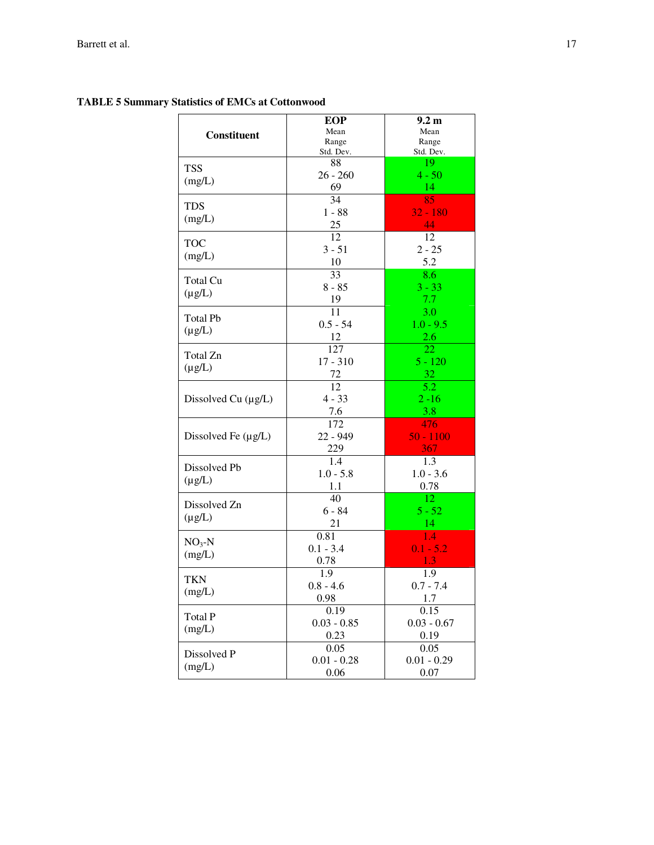|                          | EOP                | 9.2 <sub>m</sub> |
|--------------------------|--------------------|------------------|
| Constituent              | Mean               | Mean             |
|                          | Range              | Range            |
|                          | Std. Dev.          | Std. Dev.        |
| <b>TSS</b>               | 88                 | 19               |
| (mg/L)                   | $26 - 260$         | $4 - 50$         |
|                          | 69                 | 14               |
| <b>TDS</b>               | 34                 | 85               |
| (mg/L)                   | $1 - 88$           | $32 - 180$       |
|                          | 25                 | 44               |
| <b>TOC</b>               | 12                 | 12               |
|                          | $3 - 51$           | $2 - 25$         |
| (mg/L)                   | 10                 | 5.2              |
|                          | 33                 | 8.6              |
| <b>Total Cu</b>          | $8 - 85$           | $3 - 33$         |
| $(\mu g/L)$              | 19                 | 7.7              |
|                          | 11                 | 3.0              |
| <b>Total Pb</b>          | $0.5 - 54$         | $1.0 - 9.5$      |
| $(\mu g/L)$              | 12                 | 2.6              |
|                          | 127                | 22               |
| Total Zn                 | $17 - 310$         | $5 - 120$        |
| $(\mu g/L)$              | 72                 | 32               |
|                          | 12                 | $\overline{5.2}$ |
| Dissolved Cu $(\mu g/L)$ | $4 - 33$           | $2 - 16$         |
|                          | 7.6                | 3.8              |
|                          | 172                | 476              |
| Dissolved Fe (µg/L)      | 22 - 949           | $50 - 1100$      |
|                          | 229                | 367              |
|                          | 1.4                | 1.3              |
| Dissolved Pb             | $1.0 - 5.8$        | $1.0 - 3.6$      |
| $(\mu g/L)$              | 1.1                | 0.78             |
|                          | 40                 | 12               |
| Dissolved Zn             | $6 - 84$           | $5 - 52$         |
| $(\mu g/L)$              | 21                 | 14               |
|                          | 0.81               | 1.4              |
| $NO3-N$                  | $0.1 - 3.4$        | $0.1 - 5.2$      |
| (mg/L)                   | 0.78               |                  |
|                          |                    | 1.3              |
| <b>TKN</b>               | 1.9<br>$0.8 - 4.6$ | 1.9              |
| (mg/L)                   | 0.98               | $0.7 - 7.4$      |
|                          |                    | 1.7              |
| <b>Total P</b>           | 0.19               | 0.15             |
| (mg/L)                   | $0.03 - 0.85$      | $0.03 - 0.67$    |
|                          | 0.23               | 0.19             |
| Dissolved P              | 0.05               | 0.05             |
| (mg/L)                   | $0.01 - 0.28$      | $0.01 - 0.29$    |
|                          | 0.06               | 0.07             |

# **TABLE 5 Summary Statistics of EMCs at Cottonwood**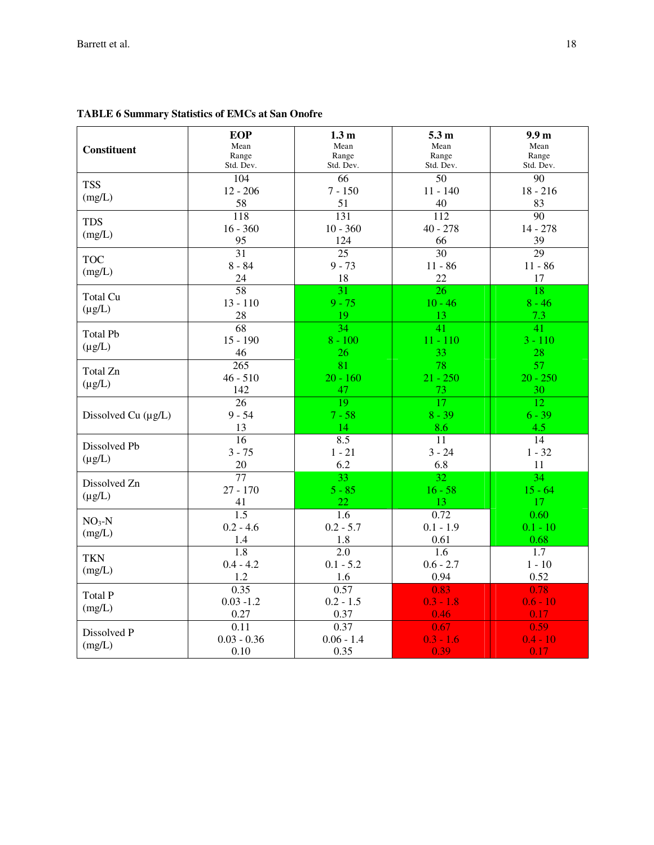| <b>Constituent</b>             | <b>EOP</b><br>Mean<br>Range<br>Std. Dev. | 1.3 <sub>m</sub><br>Mean<br>Range<br>Std. Dev. | 5.3 <sub>m</sub><br>Mean<br>Range<br>Std. Dev. | 9.9 <sub>m</sub><br>Mean<br>Range<br>Std. Dev. |
|--------------------------------|------------------------------------------|------------------------------------------------|------------------------------------------------|------------------------------------------------|
| <b>TSS</b><br>(mg/L)           | $\overline{104}$<br>$12 - 206$<br>58     | 66<br>$7 - 150$<br>51                          | $\overline{50}$<br>$11 - 140$<br>40            | $\overline{90}$<br>$18 - 216$<br>83            |
| <b>TDS</b><br>(mg/L)           | 118<br>$16 - 360$<br>95                  | $\overline{131}$<br>$10 - 360$<br>124          | 112<br>$40 - 278$<br>66                        | $\overline{90}$<br>$14 - 278$<br>39            |
| <b>TOC</b><br>(mg/L)           | $\overline{31}$<br>$8 - 84$<br>24        | $\overline{25}$<br>$9 - 73$<br>18              | $\overline{30}$<br>$11 - 86$<br>22             | 29<br>$11 - 86$<br>17                          |
| Total Cu<br>$(\mu g/L)$        | $\overline{58}$<br>$13 - 110$<br>28      | 31<br>$9 - 75$<br>19                           | 26<br>$10 - 46$<br>13                          | 18<br>$8 - 46$<br>7.3                          |
| <b>Total Pb</b><br>$(\mu g/L)$ | 68<br>$15 - 190$<br>46                   | 34<br>$8 - 100$<br>26                          | 41<br>$11 - 110$<br>33                         | $\overline{41}$<br>$3 - 110$<br>28             |
| Total Zn<br>$(\mu g/L)$        | $\overline{265}$<br>$46 - 510$<br>142    | 81<br>$20 - 160$<br>47                         | 78<br>$21 - 250$<br>73                         | 57<br>$20 - 250$<br>30                         |
| Dissolved Cu (µg/L)            | 26<br>$9 - 54$<br>13                     | $\overline{19}$<br>$7 - 58$<br>14              | $\overline{17}$<br>$8 - 39$<br>8.6             | $\overline{12}$<br>$6 - 39$<br>4.5             |
| Dissolved Pb<br>$(\mu g/L)$    | 16<br>$3 - 75$<br>20                     | 8.5<br>$1 - 21$<br>6.2                         | 11<br>$3 - 24$<br>6.8                          | 14<br>$1 - 32$<br>11                           |
| Dissolved Zn<br>$(\mu g/L)$    | $\overline{77}$<br>$27 - 170$<br>41      | 33<br>$5 - 85$<br>22                           | $\overline{32}$<br>$16 - 58$<br>13             | 34<br>$15 - 64$<br>17                          |
| $NO3-N$<br>(mg/L)              | 1.5<br>$0.2 - 4.6$<br>1.4                | 1.6<br>$0.2 - 5.7$<br>1.8                      | 0.72<br>$0.1 - 1.9$<br>0.61                    | 0.60<br>$0.1 - 10$<br>0.68                     |
| <b>TKN</b><br>(mg/L)           | 1.8<br>$0.4 - 4.2$<br>1.2                | 2.0<br>$0.1 - 5.2$<br>1.6                      | 1.6<br>$0.6 - 2.7$<br>0.94                     | 1.7<br>$1 - 10$<br>0.52                        |
| <b>Total P</b><br>(mg/L)       | 0.35<br>$0.03 - 1.2$<br>0.27             | 0.57<br>$0.2 - 1.5$<br>0.37                    | 0.83<br>$0.3 - 1.8$<br>0.46                    | 0.78<br>$0.6 - 10$<br>0.17                     |
| Dissolved P<br>(mg/L)          | 0.11<br>$0.03 - 0.36$<br>0.10            | 0.37<br>$0.06 - 1.4$<br>0.35                   | 0.67<br>$0.3 - 1.6$<br>0.39                    | 0.59<br>$0.4 - 10$<br>0.17                     |

## **TABLE 6 Summary Statistics of EMCs at San Onofre**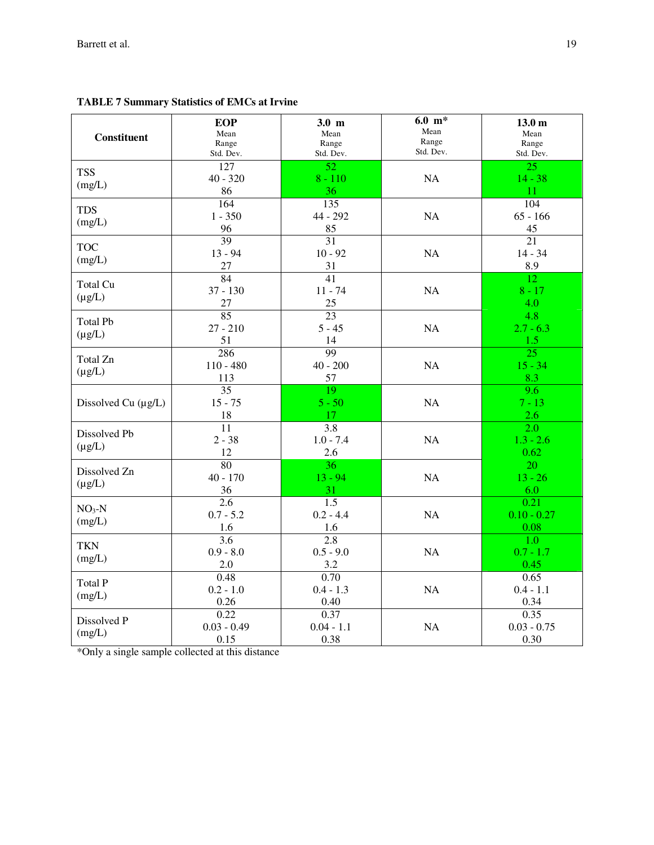| <b>Constituent</b>             | <b>EOP</b><br>Mean<br>Range<br>Std. Dev. | $3.0 \text{ m}$<br>Mean<br>Range<br>Std. Dev. | $6.0 \text{ m}^*$<br>Mean<br>Range<br>Std. Dev. | 13.0 <sub>m</sub><br>Mean<br>Range<br>Std. Dev. |
|--------------------------------|------------------------------------------|-----------------------------------------------|-------------------------------------------------|-------------------------------------------------|
| <b>TSS</b><br>(mg/L)           | 127<br>$40 - 320$<br>86                  | $\overline{52}$<br>$8 - 110$<br>36            | NA                                              | $\overline{25}$<br>$14 - 38$<br>11              |
| <b>TDS</b><br>(mg/L)           | 164<br>$1 - 350$<br>96                   | 135<br>44 - 292<br>85                         | NA                                              | 104<br>$65 - 166$<br>45                         |
| <b>TOC</b><br>(mg/L)           | $\overline{39}$<br>$13 - 94$<br>27       | 31<br>$10 - 92$<br>31                         | NA                                              | 21<br>$14 - 34$<br>8.9                          |
| <b>Total Cu</b><br>$(\mu g/L)$ | 84<br>$37 - 130$<br>27                   | 41<br>$11 - 74$<br>25                         | NA                                              | 12<br>$8 - 17$<br>4.0                           |
| <b>Total Pb</b><br>$(\mu g/L)$ | 85<br>$27 - 210$<br>51                   | 23<br>$5 - 45$<br>14                          | NA                                              | 4.8<br>$2.7 - 6.3$<br>1.5                       |
| Total Zn<br>$(\mu g/L)$        | 286<br>$110 - 480$<br>113                | 99<br>$40 - 200$<br>57                        | NA                                              | $\overline{25}$<br>$15 - 34$<br>8.3             |
| Dissolved Cu (µg/L)            | 35<br>$15 - 75$<br>18                    | 19<br>$5 - 50$<br>17                          | NA                                              | 9.6<br>$7 - 13$<br>2.6                          |
| Dissolved Pb<br>$(\mu g/L)$    | 11<br>$2 - 38$<br>12                     | 3.8<br>$1.0 - 7.4$<br>2.6                     | NA                                              | 2.0<br>$1.3 - 2.6$<br>0.62                      |
| Dissolved Zn<br>$(\mu g/L)$    | 80<br>$40 - 170$<br>36                   | 36<br>$13 - 94$<br>31                         | NA                                              | 20<br>$13 - 26$<br>6.0                          |
| $NO3-N$<br>(mg/L)              | $\overline{2.6}$<br>$0.7 - 5.2$<br>1.6   | $\overline{1.5}$<br>$0.2 - 4.4$<br>1.6        | NA                                              | 0.21<br>$0.10 - 0.27$<br>0.08                   |
| <b>TKN</b><br>(mg/L)           | 3.6<br>$0.9 - 8.0$<br>2.0                | $\overline{2.8}$<br>$0.5 - 9.0$<br>3.2        | NA                                              | 1.0<br>$0.7 - 1.7$<br>0.45                      |
| <b>Total P</b><br>(mg/L)       | 0.48<br>$0.2 - 1.0$<br>0.26              | 0.70<br>$0.4 - 1.3$<br>0.40                   | NA                                              | 0.65<br>$0.4 - 1.1$<br>0.34                     |
| Dissolved P<br>(mg/L)          | 0.22<br>$0.03 - 0.49$<br>0.15            | 0.37<br>$0.04 - 1.1$<br>0.38                  | <b>NA</b>                                       | 0.35<br>$0.03 - 0.75$<br>0.30                   |

**TABLE 7 Summary Statistics of EMCs at Irvine** 

\*Only a single sample collected at this distance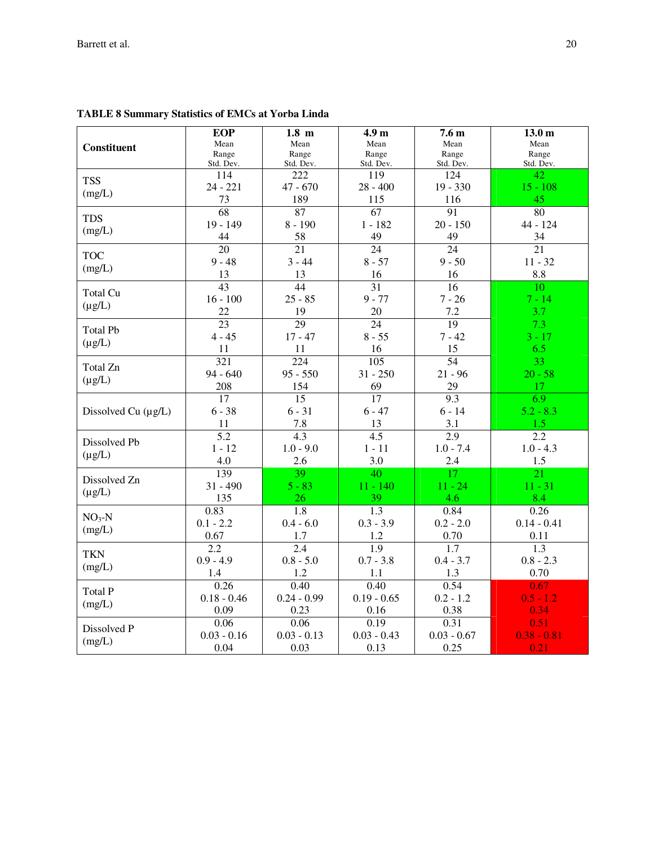|                          | <b>EOP</b>       | $1.8$ m          | 4.9 <sub>m</sub> | 7.6 <sub>m</sub> | 13.0 <sub>m</sub> |
|--------------------------|------------------|------------------|------------------|------------------|-------------------|
| Constituent              | Mean             | Mean             | Mean             | Mean             | Mean              |
|                          | Range            | Range            | Range            | Range            | Range             |
|                          | Std. Dev.        | Std. Dev.        | Std. Dev.        | Std. Dev.        | Std. Dev.         |
| <b>TSS</b>               | 114              | 222              | 119              | 124              | 42                |
| (mg/L)                   | $24 - 221$       | $47 - 670$       | $28 - 400$       | $19 - 330$       | $15 - 108$        |
|                          | 73               | 189              | 115              | 116              | 45                |
| <b>TDS</b>               | $\overline{68}$  | 87               | $\overline{67}$  | 91               | 80                |
|                          | 19 - 149         | $8 - 190$        | $1 - 182$        | $20 - 150$       | 44 - 124          |
| (mg/L)                   | 44               | 58               | 49               | 49               | 34                |
| <b>TOC</b>               | 20               | 21               | 24               | 24               | 21                |
| (mg/L)                   | $9 - 48$         | $3 - 44$         | $8 - 57$         | $9 - 50$         | $11 - 32$         |
|                          | 13               | 13               | 16               | 16               | 8.8               |
|                          | 43               | 44               | 31               | 16               | 10                |
| Total Cu                 | $16 - 100$       | $25 - 85$        | $9 - 77$         | $7 - 26$         | $7 - 14$          |
| $(\mu g/L)$              | 22               | 19               | 20               | 7.2              | 3.7               |
|                          | $\overline{23}$  | $\overline{29}$  | 24               | $\overline{19}$  | 7.3               |
| <b>Total Pb</b>          | $4 - 45$         | $17 - 47$        | $8 - 55$         | $7 - 42$         | $3 - 17$          |
| $(\mu g/L)$              | 11               | 11               | 16               | 15               | 6.5               |
|                          | 321              | 224              | 105              | 54               | 33                |
| Total Zn                 | $94 - 640$       | $95 - 550$       | $31 - 250$       | $21 - 96$        | $20 - 58$         |
| $(\mu g/L)$              | 208              | 154              | 69               | 29               | 17                |
|                          | $\overline{17}$  | $\overline{15}$  | $\overline{17}$  | 9.3              | 6.9               |
| Dissolved Cu $(\mu g/L)$ | $6 - 38$         | $6 - 31$         | $6 - 47$         | $6 - 14$         | $5.2 - 8.3$       |
|                          | 11               | 7.8              | 13               | 3.1              | 1.5               |
|                          | $\overline{5.2}$ | 4.3              | 4.5              | 2.9              | 2.2               |
| Dissolved Pb             | $1 - 12$         | $1.0 - 9.0$      | $1 - 11$         | $1.0 - 7.4$      | $1.0 - 4.3$       |
| $(\mu g/L)$              | 4.0              | 2.6              | 3.0              | 2.4              | 1.5               |
|                          | 139              | 39               | 40               | 17               | 21                |
| Dissolved Zn             | $31 - 490$       | $5 - 83$         | $11 - 140$       | $11 - 24$        | $11 - 31$         |
| $(\mu g/L)$              | 135              | 26               | 39               | 4.6              | 8.4               |
|                          | 0.83             | 1.8              | 1.3              | 0.84             | 0.26              |
| $NO3-N$                  | $0.1 - 2.2$      | $0.4 - 6.0$      | $0.3 - 3.9$      | $0.2 - 2.0$      | $0.14 - 0.41$     |
| (mg/L)                   | 0.67             | 1.7              | 1.2              | 0.70             | 0.11              |
|                          | $\overline{2.2}$ | $\overline{2.4}$ | $\overline{1.9}$ | $\overline{1.7}$ | $\overline{1.3}$  |
| <b>TKN</b>               | $0.9 - 4.9$      | $0.8 - 5.0$      | $0.7 - 3.8$      | $0.4 - 3.7$      | $0.8 - 2.3$       |
| (mg/L)                   | 1.4              | 1.2              | 1.1              | 1.3              | 0.70              |
|                          | 0.26             | 0.40             | 0.40             | 0.54             | 0.67              |
| Total P                  | $0.18 - 0.46$    | $0.24 - 0.99$    | $0.19 - 0.65$    | $0.2 - 1.2$      | $0.5 - 1.2$       |
| (mg/L)                   | 0.09             | 0.23             | 0.16             | 0.38             | 0.34              |
|                          | 0.06             | 0.06             | 0.19             | 0.31             | 0.51              |
| Dissolved P              | $0.03 - 0.16$    | $0.03 - 0.13$    | $0.03 - 0.43$    | $0.03 - 0.67$    | $0.38 - 0.81$     |
| (mg/L)                   | 0.04             | 0.03             | 0.13             | 0.25             | 0.21              |

## **TABLE 8 Summary Statistics of EMCs at Yorba Linda**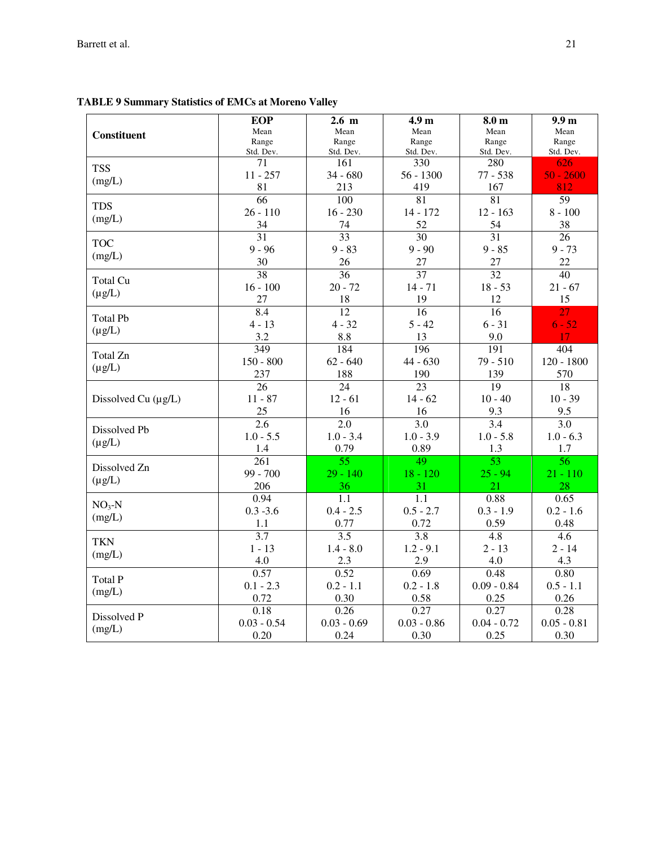|                          | <b>EOP</b>       | 2.6 <sub>m</sub> | 4.9 <sub>m</sub> | 8.0 <sub>m</sub> | 9.9 <sub>m</sub> |
|--------------------------|------------------|------------------|------------------|------------------|------------------|
| <b>Constituent</b>       | Mean             | Mean             | Mean             | Mean             | Mean             |
|                          | Range            | Range            | Range            | Range            | Range            |
|                          | Std. Dev.        | Std. Dev.        | Std. Dev.        | Std. Dev.        | Std. Dev.        |
| <b>TSS</b>               | 71               | 161              | 330              | 280              | 626              |
| (mg/L)                   | $11 - 257$       | $34 - 680$       | $56 - 1300$      | $77 - 538$       | $50 - 2600$      |
|                          | 81               | 213              | 419              | 167              | 812              |
| <b>TDS</b>               | $\overline{66}$  | 100              | $\overline{81}$  | 81               | $\overline{59}$  |
| (mg/L)                   | $26 - 110$       | $16 - 230$       | 14 - 172         | $12 - 163$       | $8 - 100$        |
|                          | 34               | 74               | 52               | 54               | 38               |
| <b>TOC</b>               | 31               | 33               | 30               | $\overline{31}$  | 26               |
| (mg/L)                   | $9 - 96$         | $9 - 83$         | $9 - 90$         | $9 - 85$         | $9 - 73$         |
|                          | 30               | 26               | 27               | 27               | 22               |
| Total Cu                 | 38               | 36               | 37               | 32               | 40               |
| $(\mu g/L)$              | $16 - 100$       | $20 - 72$        | $14 - 71$        | $18 - 53$        | $21 - 67$        |
|                          | 27               | 18               | 19               | 12               | 15               |
| <b>Total Pb</b>          | 8.4              | 12               | 16               | 16               | $\overline{27}$  |
|                          | $4 - 13$         | $4 - 32$         | $5 - 42$         | $6 - 31$         | $6 - 52$         |
| $(\mu g/L)$              | 3.2              | 8.8              | 13               | 9.0              | 17 <sup>°</sup>  |
|                          | 349              | 184              | 196              | 191              | 404              |
| Total Zn                 | $150 - 800$      | $62 - 640$       | $44 - 630$       | $79 - 510$       | $120 - 1800$     |
| $(\mu g/L)$              | 237              | 188              | 190              | 139              | 570              |
|                          | 26               | 24               | 23               | 19               | 18               |
| Dissolved Cu $(\mu g/L)$ | $11 - 87$        | $12 - 61$        | $14 - 62$        | $10 - 40$        | $10 - 39$        |
|                          | 25               | 16               | 16               | 9.3              | 9.5              |
|                          | 2.6              | 2.0              | 3.0              | 3.4              | 3.0              |
| Dissolved Pb             | $1.0 - 5.5$      | $1.0 - 3.4$      | $1.0 - 3.9$      | $1.0 - 5.8$      | $1.0 - 6.3$      |
| $(\mu g/L)$              | 1.4              | 0.79             | 0.89             | 1.3              | 1.7              |
|                          | $\overline{261}$ | 55               | 49               | 53               | 56               |
| Dissolved Zn             | $99 - 700$       | $29 - 140$       | $18 - 120$       | $25 - 94$        | $21 - 110$       |
| $(\mu g/L)$              | 206              | 36               | 31               | 21               | 28               |
|                          | 0.94             | 1.1              | 1.1              | 0.88             | 0.65             |
| $NO3-N$                  | $0.3 - 3.6$      | $0.4 - 2.5$      | $0.5 - 2.7$      | $0.3 - 1.9$      | $0.2 - 1.6$      |
| (mg/L)                   | 1.1              | 0.77             | 0.72             | 0.59             | 0.48             |
|                          | $\overline{3.7}$ | $\overline{3.5}$ | $\overline{3.8}$ | 4.8              | 4.6              |
| <b>TKN</b>               | $1 - 13$         | $1.4 - 8.0$      | $1.2 - 9.1$      | $2 - 13$         | $2 - 14$         |
| (mg/L)                   | 4.0              | 2.3              | 2.9              | 4.0              | 4.3              |
|                          | 0.57             | 0.52             | 0.69             | 0.48             | 0.80             |
| <b>Total P</b>           | $0.1 - 2.3$      | $0.2 - 1.1$      | $0.2 - 1.8$      | $0.09 - 0.84$    | $0.5 - 1.1$      |
| (mg/L)                   | 0.72             | 0.30             | 0.58             | 0.25             | 0.26             |
|                          | 0.18             | 0.26             | 0.27             | 0.27             | 0.28             |
| Dissolved P              | $0.03 - 0.54$    | $0.03 - 0.69$    | $0.03 - 0.86$    | $0.04 - 0.72$    | $0.05 - 0.81$    |
| (mg/L)                   | 0.20             | 0.24             | 0.30             | 0.25             | 0.30             |

# **TABLE 9 Summary Statistics of EMCs at Moreno Valley**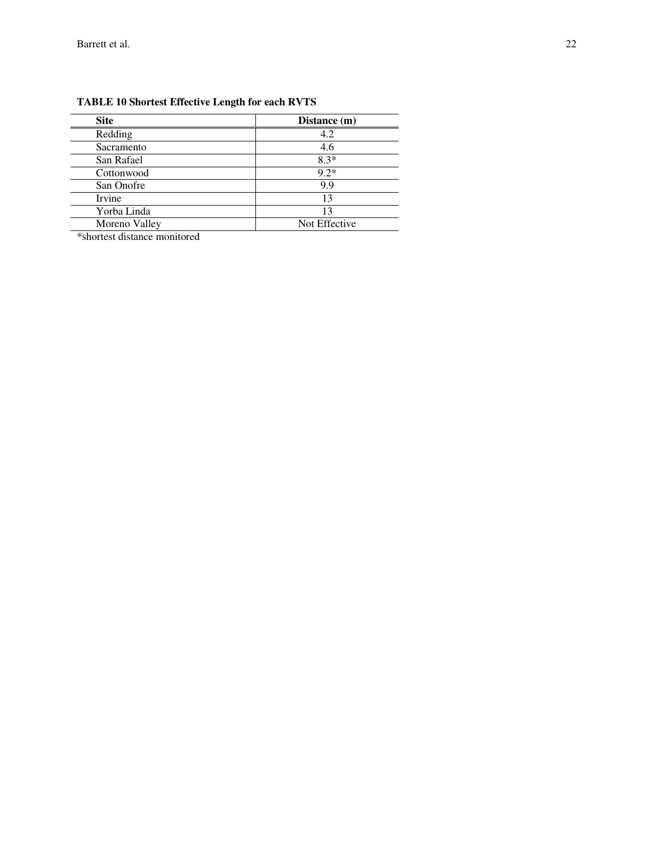| <b>Site</b>   | Distance (m)  |
|---------------|---------------|
| Redding       | 4.2           |
| Sacramento    | 4.6           |
| San Rafael    | $8.3*$        |
| Cottonwood    | $9.2*$        |
| San Onofre    | 9.9           |
| <b>Irvine</b> | 13            |
| Yorba Linda   | 13            |
| Moreno Valley | Not Effective |

## **TABLE 10 Shortest Effective Length for each RVTS**

\*shortest distance monitored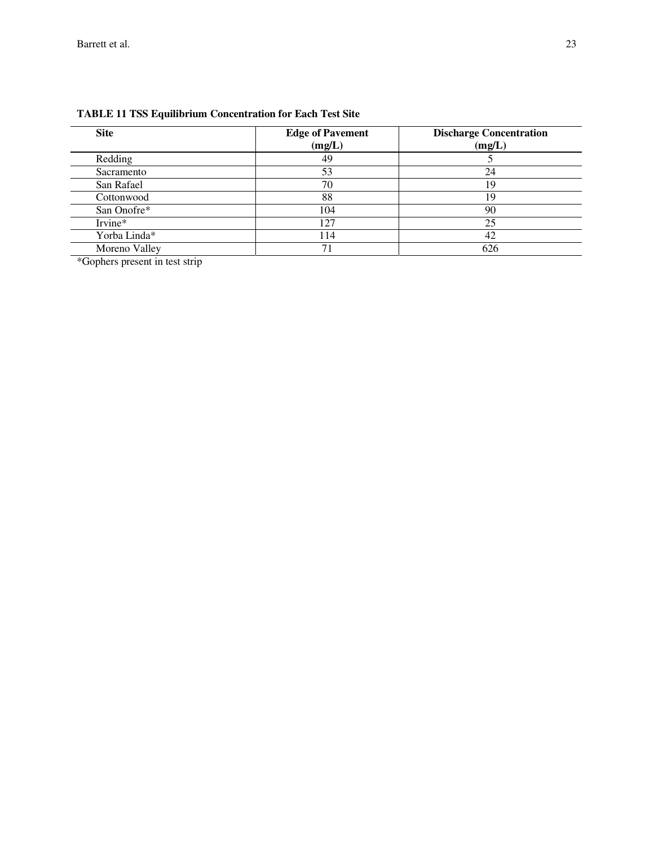| <b>Site</b>   | <b>Edge of Pavement</b><br>(mg/L) | <b>Discharge Concentration</b><br>(mg/L) |
|---------------|-----------------------------------|------------------------------------------|
| Redding       | 49                                |                                          |
| Sacramento    | 53                                | 24                                       |
| San Rafael    | 70                                | 19                                       |
| Cottonwood    | 88                                | 19                                       |
| San Onofre*   | 104                               | 90                                       |
| Irvine*       | 127                               | 25                                       |
| Yorba Linda*  | 114                               | 42                                       |
| Moreno Valley |                                   | 626                                      |

## **TABLE 11 TSS Equilibrium Concentration for Each Test Site**

\*Gophers present in test strip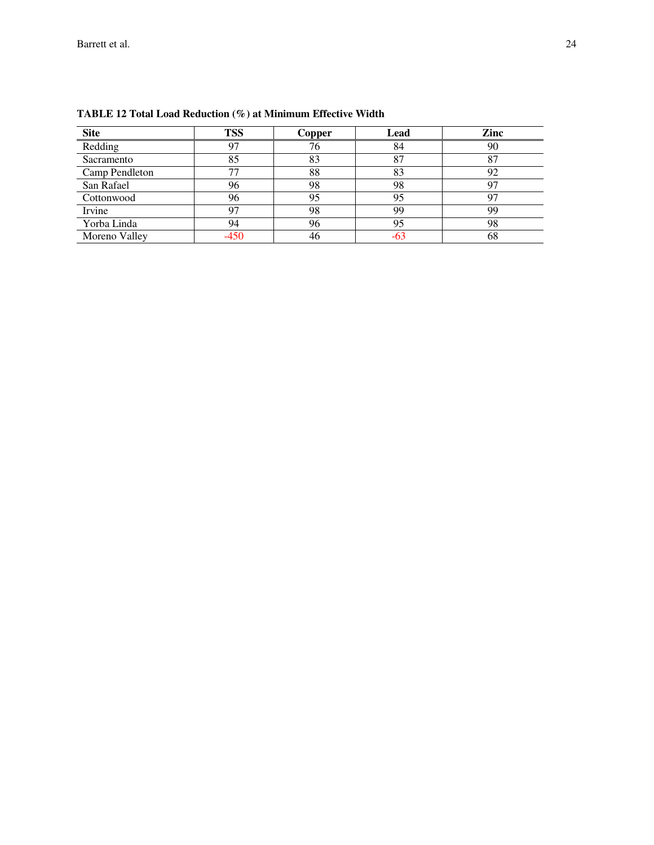| <b>Site</b>    | <b>TSS</b> | Copper | Lead | Zinc |
|----------------|------------|--------|------|------|
| Redding        | 97         | 76     | 84   | 90   |
| Sacramento     | 85         | 83     | 87   | 87   |
| Camp Pendleton |            | 88     | 83   | 92   |
| San Rafael     | 96         | 98     | 98   |      |
| Cottonwood     | 96         | 95     | 95   |      |
| Irvine         | 97         | 98     | 99   | 99   |
| Yorba Linda    | 94         | 96     | 95   | 98   |
| Moreno Valley  |            | 46     | -63  | 68   |

**TABLE 12 Total Load Reduction (%) at Minimum Effective Width**